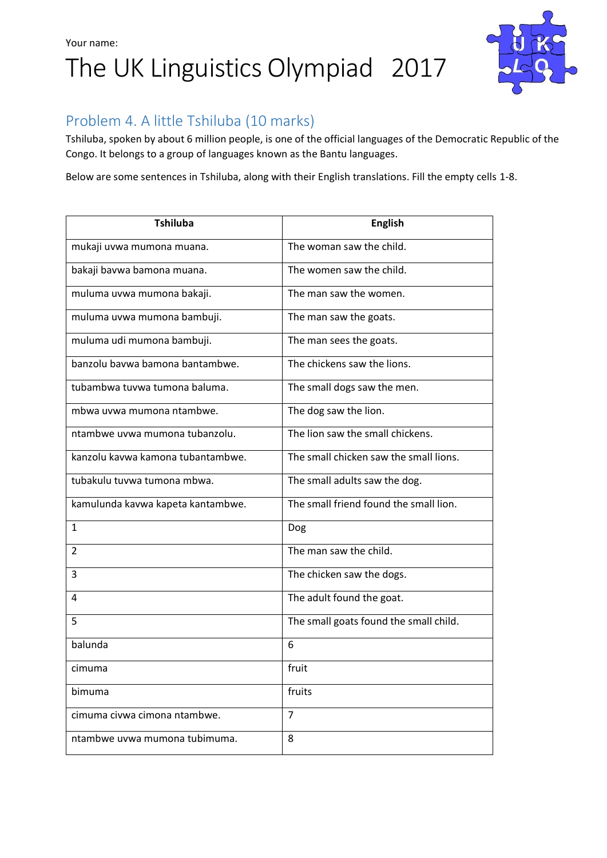## Your name: The UK Linguistics Olympiad 2017



### Problem 4. A little Tshiluba (10 marks)

Tshiluba, spoken by about 6 million people, is one of the official languages of the Democratic Republic of the Congo. It belongs to a group of languages known as the Bantu languages.

Below are some sentences in Tshiluba, along with their English translations. Fill the empty cells 1-8.

| <b>Tshiluba</b>                   | <b>English</b>                         |
|-----------------------------------|----------------------------------------|
| mukaji uvwa mumona muana.         | The woman saw the child.               |
| bakaji bavwa bamona muana.        | The women saw the child.               |
| muluma uvwa mumona bakaji.        | The man saw the women.                 |
| muluma uvwa mumona bambuji.       | The man saw the goats.                 |
| muluma udi mumona bambuji.        | The man sees the goats.                |
| banzolu baywa bamona bantambwe.   | The chickens saw the lions.            |
| tubambwa tuvwa tumona baluma.     | The small dogs saw the men.            |
| mbwa uvwa mumona ntambwe.         | The dog saw the lion.                  |
| ntambwe uywa mumona tubanzolu.    | The lion saw the small chickens.       |
| kanzolu kaywa kamona tubantambwe. | The small chicken saw the small lions. |
| tubakulu tuvwa tumona mbwa.       | The small adults saw the dog.          |
| kamulunda kavwa kapeta kantambwe. | The small friend found the small lion. |
| 1                                 | Dog                                    |
| 2                                 | The man saw the child.                 |
| 3                                 | The chicken saw the dogs.              |
| 4                                 | The adult found the goat.              |
| 5                                 | The small goats found the small child. |
| balunda                           | 6                                      |
| cımuma                            | fruit                                  |
| bimuma                            | fruits                                 |
| cimuma civwa cimona ntambwe.      | $\overline{7}$                         |
| ntambwe uvwa mumona tubimuma.     | 8                                      |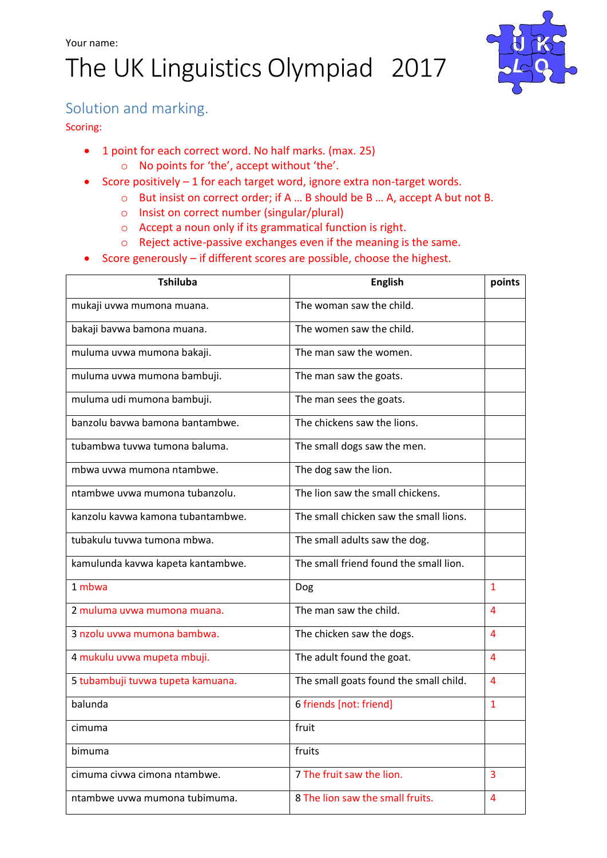# The UK Linguistics Olympiad 2017



#### Solution and marking.

#### Scoring:

- 1 point for each correct word. No half marks. (max. 25)
	- o No points for 'the', accept without 'the'.
- Score positively  $-1$  for each target word, ignore extra non-target words.
	- o But insist on correct order; if A … B should be B … A, accept A but not B.
	- o Insist on correct number (singular/plural)
	- o Accept a noun only if its grammatical function is right.
	- o Reject active-passive exchanges even if the meaning is the same.
- Score generously if different scores are possible, choose the highest.

| <b>Tshiluba</b>                   | <b>English</b>                         | points         |
|-----------------------------------|----------------------------------------|----------------|
| mukaji uvwa mumona muana.         | The woman saw the child.               |                |
| bakaji bavwa bamona muana.        | The women saw the child.               |                |
| muluma uvwa mumona bakaji.        | The man saw the women.                 |                |
| muluma uvwa mumona bambuji.       | The man saw the goats.                 |                |
| muluma udi mumona bambuji.        | The man sees the goats.                |                |
| banzolu bavwa bamona bantambwe.   | The chickens saw the lions.            |                |
| tubambwa tuvwa tumona baluma.     | The small dogs saw the men.            |                |
| mbwa uvwa mumona ntambwe.         | The dog saw the lion.                  |                |
| ntambwe uvwa mumona tubanzolu.    | The lion saw the small chickens.       |                |
| kanzolu kavwa kamona tubantambwe. | The small chicken saw the small lions. |                |
| tubakulu tuvwa tumona mbwa.       | The small adults saw the dog.          |                |
| kamulunda kavwa kapeta kantambwe. | The small friend found the small lion. |                |
| 1 mbwa                            | Dog                                    | $\mathbf{1}$   |
| 2 muluma uvwa mumona muana.       | The man saw the child.                 | 4              |
| 3 nzolu uvwa mumona bambwa.       | The chicken saw the dogs.              | $\overline{4}$ |
| 4 mukulu uvwa mupeta mbuji.       | The adult found the goat.              | 4              |
| 5 tubambuji tuvwa tupeta kamuana. | The small goats found the small child. | 4              |
| balunda                           | 6 friends [not: friend]                | $\mathbf{1}$   |
| cımuma                            | fruit                                  |                |
| bimuma                            | fruits                                 |                |
| cimuma civwa cimona ntambwe.      | 7 The fruit saw the lion.              | 3              |
| ntambwe uywa mumona tubimuma.     | 8 The lion saw the small fruits.       | 4              |